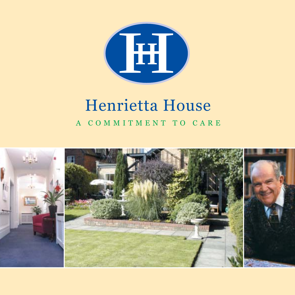

# Henrietta House

A COMMITMENT TO CARE

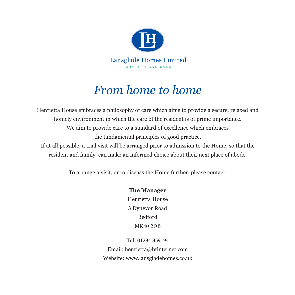

## *From home to home*

Henrietta House embraces a philosophy of care which aims to provide a secure, relaxed and homely environment in which the care of the resident is of prime importance. We aim to provide care to a standard of excellence which embraces the fundamental principles of good practice.

If at all possible, a trial visit will be arranged prior to admission to the Home, so that the resident and family can make an informed choice about their next place of abode.

To arrange a visit, or to discuss the Home further, please contact:

#### **The Manager**

Henrietta House 3 Dynevor Road Bedford MK40 2DB

Tel: 01234 359194 Email: henrietta@btinternet.com Website: www.lansgladehomes.co.uk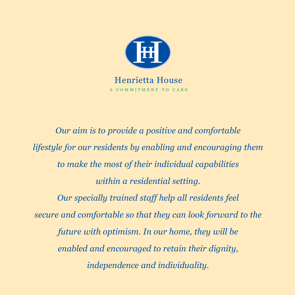

*Our aim is to provide a positive and comfortable lifestyle for our residents by enabling and encouraging them to make the most of their individual capabilities within a residential setting. Our specially trained staff help all residents feel secure and comfortable so that they can look forward to the future with optimism. In our home, they will be enabled and encouraged to retain their dignity, independence and individuality.*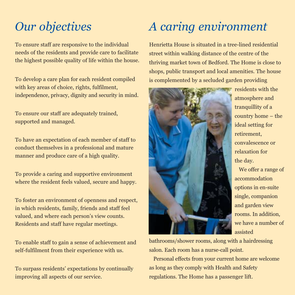### *Our objectives*

To ensure staff are responsive to the individual needs of the residents and provide care to facilitate the highest possible quality of life within the house.

To develop a care plan for each resident compiled with key areas of choice, rights, fulfilment, independence, privacy, dignity and security in mind.

To ensure our staff are adequately trained, supported and managed.

To have an expectation of each member of staff to conduct themselves in a professional and mature manner and produce care of a high quality.

To provide a caring and supportive environment where the resident feels valued, secure and happy.

To foster an environment of openness and respect, in which residents, family, friends and staff feel valued, and where each person's view counts. Residents and staff have regular meetings.

To enable staff to gain a sense of achievement and self-fulfilment from their experience with us.

To surpass residents' expectations by continually improving all aspects of our service.

### *A caring environment*

Henrietta House is situated in a tree-lined residential street within walking distance of the centre of the thriving market town of Bedford. The Home is close to shops, public transport and local amenities. The house is complemented by a secluded garden providing



residents with the atmosphere and tranquillity of a country home – the ideal setting for retirement, convalescence or relaxation for the day.

We offer a range of accommodation options in en-suite single, companion and garden view rooms. In addition, we have a number of assisted

bathrooms/shower rooms, along with a hairdressing salon. Each room has a nurse-call point.

Personal effects from your current home are welcome as long as they comply with Health and Safety regulations. The Home has a passenger lift.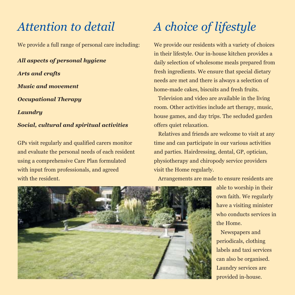#### *Attention to detail*

We provide a full range of personal care including:

*All aspects of personal hygiene Arts and crafts Music and movement Occupational Therapy Laundry Social, cultural and spiritual activities*

GPs visit regularly and qualified carers monitor and evaluate the personal needs of each resident using a comprehensive Care Plan formulated with input from professionals, and agreed with the resident.

# *A choice of lifestyle*

We provide our residents with a variety of choices in their lifestyle. Our in-house kitchen provides a daily selection of wholesome meals prepared from fresh ingredients. We ensure that special dietary needs are met and there is always a selection of home-made cakes, biscuits and fresh fruits.

Television and video are available in the living room. Other activities include art therapy, music, house games, and day trips. The secluded garden offers quiet relaxation.

Relatives and friends are welcome to visit at any time and can participate in our various activities and parties. Hairdressing, dental, GP, optician, physiotherapy and chiropody service providers visit the Home regularly.

Arrangements are made to ensure residents are



able to worship in their own faith. We regularly have a visiting minister who conducts services in the Home.

Newspapers and periodicals, clothing labels and taxi services can also be organised. Laundry services are provided in-house.